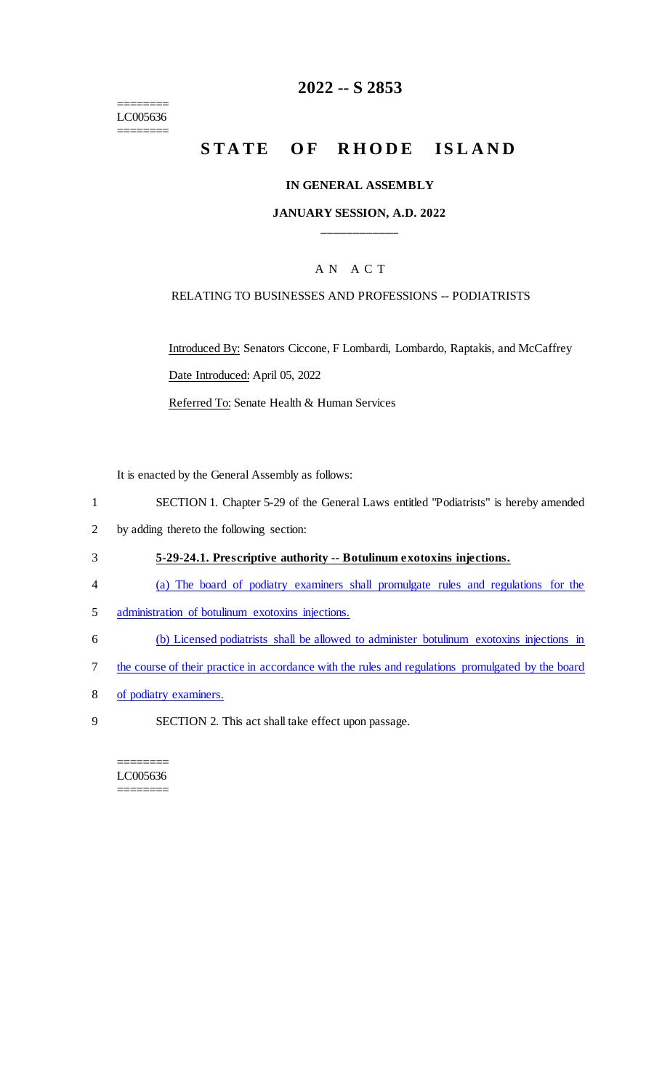======== LC005636 ========

## **2022 -- S 2853**

# **STATE OF RHODE ISLAND**

#### **IN GENERAL ASSEMBLY**

### **JANUARY SESSION, A.D. 2022 \_\_\_\_\_\_\_\_\_\_\_\_**

### A N A C T

### RELATING TO BUSINESSES AND PROFESSIONS -- PODIATRISTS

Introduced By: Senators Ciccone, F Lombardi, Lombardo, Raptakis, and McCaffrey Date Introduced: April 05, 2022

Referred To: Senate Health & Human Services

It is enacted by the General Assembly as follows:

- 1 SECTION 1. Chapter 5-29 of the General Laws entitled "Podiatrists" is hereby amended
- 2 by adding thereto the following section:
- 3 **5-29-24.1. Prescriptive authority -- Botulinum exotoxins injections.**
- 4 (a) The board of podiatry examiners shall promulgate rules and regulations for the
- 5 administration of botulinum exotoxins injections.
- 6 (b) Licensed podiatrists shall be allowed to administer botulinum exotoxins injections in
- 7 the course of their practice in accordance with the rules and regulations promulgated by the board
- 8 of podiatry examiners.
- 9 SECTION 2. This act shall take effect upon passage.

#### ======== LC005636 ========